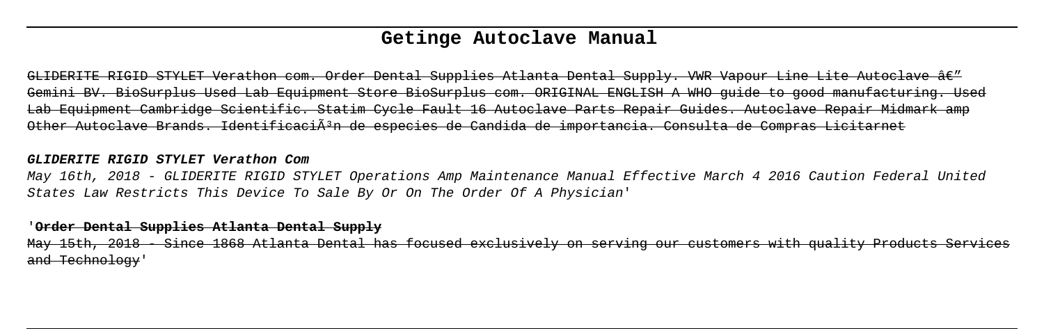# **Getinge Autoclave Manual**

GLIDERITE RIGID STYLET Verathon com. Order Dental Supplies Atlanta Dental Supply. VWR Vapour Line Lite Autoclave â€" Gemini BV. BioSurplus Used Lab Equipment Store BioSurplus com. ORIGINAL ENGLISH A WHO guide to good manufacturing. Used Lab Equipment Cambridge Scientific. Statim Cycle Fault 16 Autoclave Parts Repair Guides. Autoclave Repair Midmark amp Other Autoclave Brands. IdentificaciÃ<sup>3</sup>n de especies de Candida de importancia. Consulta de Compras Licitarnet

#### **GLIDERITE RIGID STYLET Verathon Com**

May 16th, 2018 - GLIDERITE RIGID STYLET Operations Amp Maintenance Manual Effective March 4 2016 Caution Federal United States Law Restricts This Device To Sale By Or On The Order Of A Physician'

#### '**Order Dental Supplies Atlanta Dental Supply**

May 15th, 2018 - Since 1868 Atlanta Dental has focused exclusively on serving our customers with quality Products Services and Technology'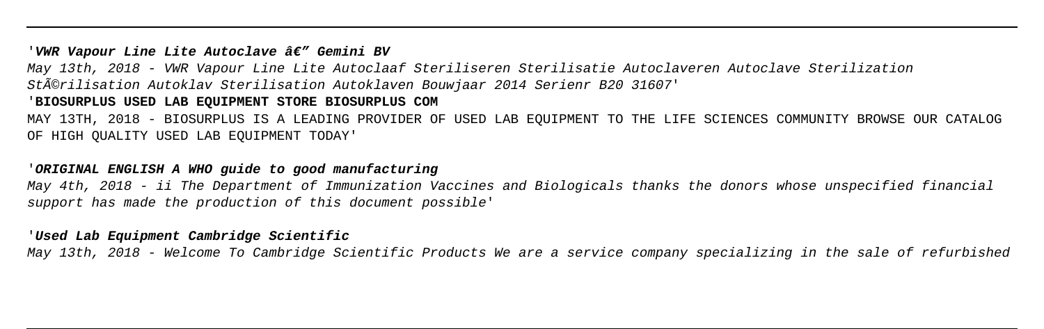#### '*VWR Vapour Line Lite Autoclave â€" Gemini BV*

May 13th, 2018 - VWR Vapour Line Lite Autoclaaf Steriliseren Sterilisatie Autoclaveren Autoclave Sterilization Stérilisation Autoklav Sterilisation Autoklaven Bouwjaar 2014 Serienr B20 31607'

## '**BIOSURPLUS USED LAB EQUIPMENT STORE BIOSURPLUS COM**

MAY 13TH, 2018 - BIOSURPLUS IS A LEADING PROVIDER OF USED LAB EQUIPMENT TO THE LIFE SCIENCES COMMUNITY BROWSE OUR CATALOG OF HIGH QUALITY USED LAB EQUIPMENT TODAY'

## '**ORIGINAL ENGLISH A WHO guide to good manufacturing**

May 4th, 2018 - ii The Department of Immunization Vaccines and Biologicals thanks the donors whose unspecified financial support has made the production of this document possible'

#### '**Used Lab Equipment Cambridge Scientific**

May 13th, 2018 - Welcome To Cambridge Scientific Products We are a service company specializing in the sale of refurbished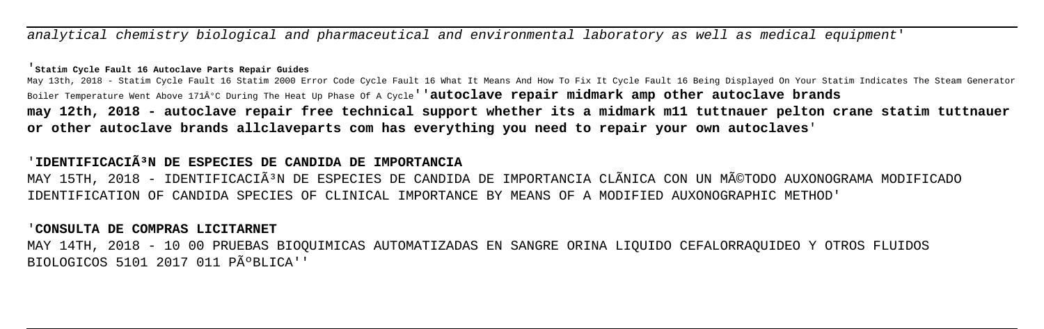analytical chemistry biological and pharmaceutical and environmental laboratory as well as medical equipment'

#### '**Statim Cycle Fault 16 Autoclave Parts Repair Guides**

May 13th, 2018 - Statim Cycle Fault 16 Statim 2000 Error Code Cycle Fault 16 What It Means And How To Fix It Cycle Fault 16 Being Displayed On Your Statim Indicates The Steam Generator Boiler Temperature Went Above 171°C During The Heat Up Phase Of A Cycle''**autoclave repair midmark amp other autoclave brands may 12th, 2018 - autoclave repair free technical support whether its a midmark m11 tuttnauer pelton crane statim tuttnauer or other autoclave brands allclaveparts com has everything you need to repair your own autoclaves**'

# 'IDENTIFICACIÃ<sup>3</sup>N DE ESPECIES DE CANDIDA DE IMPORTANCIA

MAY 15TH, 2018 - IDENTIFICACIÃ<sup>3</sup>N DE ESPECIES DE CANDIDA DE IMPORTANCIA CLÃNICA CON UN MéTODO AUXONOGRAMA MODIFICADO IDENTIFICATION OF CANDIDA SPECIES OF CLINICAL IMPORTANCE BY MEANS OF A MODIFIED AUXONOGRAPHIC METHOD'

### '**CONSULTA DE COMPRAS LICITARNET**

MAY 14TH, 2018 - 10 00 PRUEBAS BIOQUIMICAS AUTOMATIZADAS EN SANGRE ORINA LIQUIDO CEFALORRAQUIDEO Y OTROS FLUIDOS BIOLOGICOS 5101 2017 011 PúBLICA''